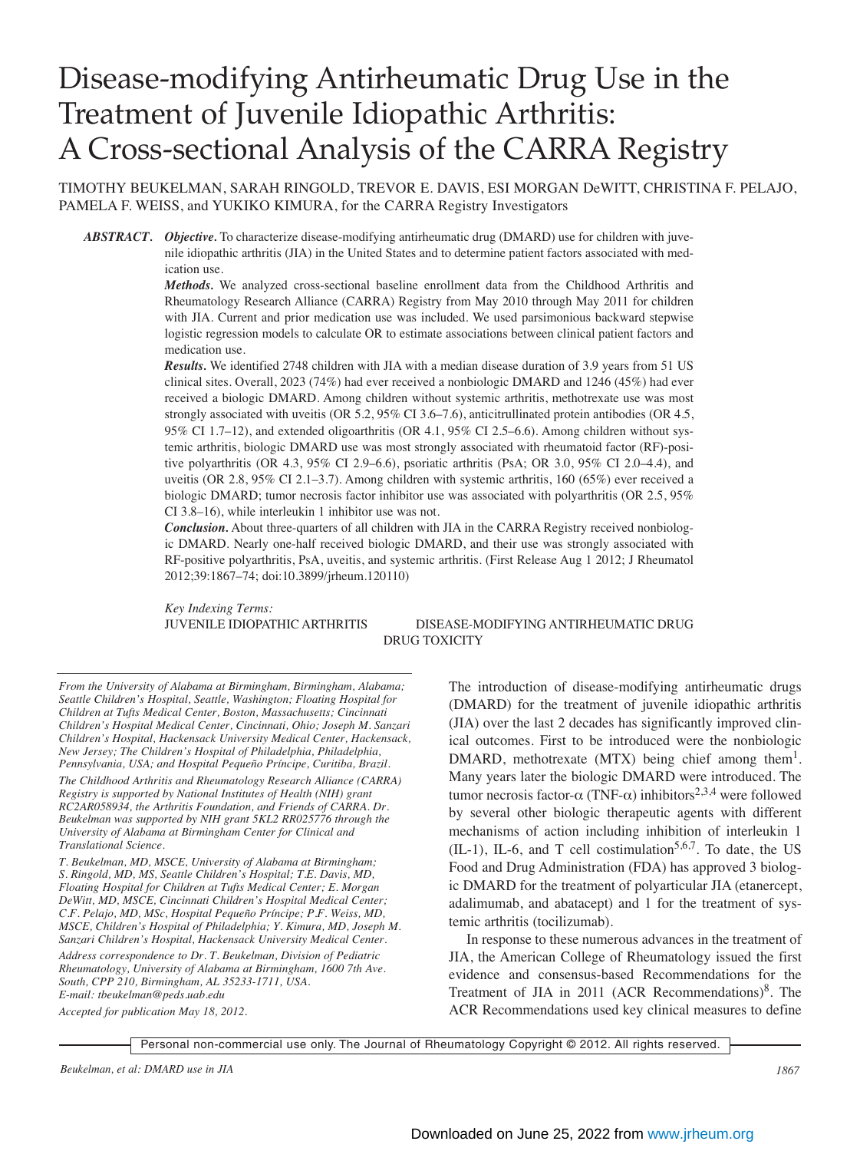# Disease-modifying Antirheumatic Drug Use in the Treatment of Juvenile Idiopathic Arthritis: A Cross-sectional Analysis of the CARRA Registry

TIMOTHY BEUKELMAN, SARAH RINGOLD, TREVOR E. DAVIS, ESI MORGAN DeWITT, CHRISTINA F. PELAJO, PAMELA F. WEISS, and YUKIKO KIMURA, for the CARRA Registry Investigators

*ABSTRACT. Objective.* To characterize disease-modifying antirheumatic drug (DMARD) use for children with juvenile idiopathic arthritis (JIA) in the United States and to determine patient factors associated with medication use.

> *Methods.* We analyzed cross-sectional baseline enrollment data from the Childhood Arthritis and Rheumatology Research Alliance (CARRA) Registry from May 2010 through May 2011 for children with JIA. Current and prior medication use was included. We used parsimonious backward stepwise logistic regression models to calculate OR to estimate associations between clinical patient factors and medication use.

> *Results.* We identified 2748 children with JIA with a median disease duration of 3.9 years from 51 US clinical sites. Overall, 2023 (74%) had ever received a nonbiologic DMARD and 1246 (45%) had ever received a biologic DMARD. Among children without systemic arthritis, methotrexate use was most strongly associated with uveitis (OR 5.2, 95% CI 3.6–7.6), anticitrullinated protein antibodies (OR 4.5, 95% CI 1.7–12), and extended oligoarthritis (OR 4.1, 95% CI 2.5–6.6). Among children without systemic arthritis, biologic DMARD use was most strongly associated with rheumatoid factor (RF)-positive polyarthritis (OR 4.3, 95% CI 2.9–6.6), psoriatic arthritis (PsA; OR 3.0, 95% CI 2.0–4.4), and uveitis (OR 2.8, 95% CI 2.1–3.7). Among children with systemic arthritis, 160 (65%) ever received a biologic DMARD; tumor necrosis factor inhibitor use was associated with polyarthritis (OR 2.5, 95% CI 3.8–16), while interleukin 1 inhibitor use was not.

> *Conclusion.* About three-quarters of all children with JIA in the CARRA Registry received nonbiologic DMARD. Nearly one-half received biologic DMARD, and their use was strongly associated with RF-positive polyarthritis, PsA, uveitis, and systemic arthritis. (First Release Aug 1 2012; J Rheumatol 2012;39:1867–74; doi:10.3899/jrheum.120110)

*Key Indexing Terms:*

JUVENILE IDIOPATHIC ARTHRITIS DISEASE-MODIFYING ANTIRHEUMATIC DRUG DRUG TOXICITY

*The Childhood Arthritis and Rheumatology Research Alliance (CARRA) Registry is supported by National Institutes of Health (NIH) grant RC2AR058934, the Arthritis Foundation, and Friends of CARRA. Dr. Beukelman was supported by NIH grant 5KL2 RR025776 through the University of Alabama at Birmingham Center for Clinical and Translational Science.*

*T. Beukelman, MD, MSCE, University of Alabama at Birmingham; S. Ringold, MD, MS, Seattle Children's Hospital; T.E. Davis, MD, Floating Hospital for Children at Tufts Medical Center; E. Morgan DeWitt, MD, MSCE, Cincinnati Children's Hospital Medical Center; C.F. Pelajo, MD, MSc, Hospital Pequeño Príncipe; P.F. Weiss, MD, MSCE, Children's Hospital of Philadelphia; Y. Kimura, MD, Joseph M. Sanzari Children's Hospital, Hackensack University Medical Center.*

*Address correspondence to Dr. T. Beukelman, Division of Pediatric Rheumatology, University of Alabama at Birmingham, 1600 7th Ave. South, CPP 210, Birmingham, AL 35233-1711, USA. E-mail: tbeukelman@peds.uab.edu*

*Accepted for publication May 18, 2012.* 

The introduction of disease-modifying antirheumatic drugs (DMARD) for the treatment of juvenile idiopathic arthritis (JIA) over the last 2 decades has significantly improved clinical outcomes. First to be introduced were the nonbiologic DMARD, methotrexate (MTX) being chief among them<sup>1</sup>. Many years later the biologic DMARD were introduced. The tumor necrosis factor-α (TNF-α) inhibitors<sup>2,3,4</sup> were followed by several other biologic therapeutic agents with different mechanisms of action including inhibition of interleukin 1  $(IL-1)$ , IL-6, and T cell costimulation<sup>5,6,7</sup>. To date, the US Food and Drug Administration (FDA) has approved 3 biologic DMARD for the treatment of polyarticular JIA (etanercept, adalimumab, and abatacept) and 1 for the treatment of systemic arthritis (tocilizumab).

In response to these numerous advances in the treatment of JIA, the American College of Rheumatology issued the first evidence and consensus-based Recommendations for the Treatment of JIA in 2011 (ACR Recommendations)<sup>8</sup>. The ACR Recommendations used key clinical measures to define

*From the University of Alabama at Birmingham, Birmingham, Alabama; Seattle Children's Hospital, Seattle, Washington; Floating Hospital for Children at Tufts Medical Center, Boston, Massachusetts; Cincinnati Children's Hospital Medical Center, Cincinnati, Ohio; Joseph M. Sanzari Children's Hospital, Hackensack University Medical Center, Hackensack, New Jersey; The Children's Hospital of Philadelphia, Philadelphia, Pennsylvania, USA; and Hospital Pequeño Príncipe, Curitiba, Brazil.*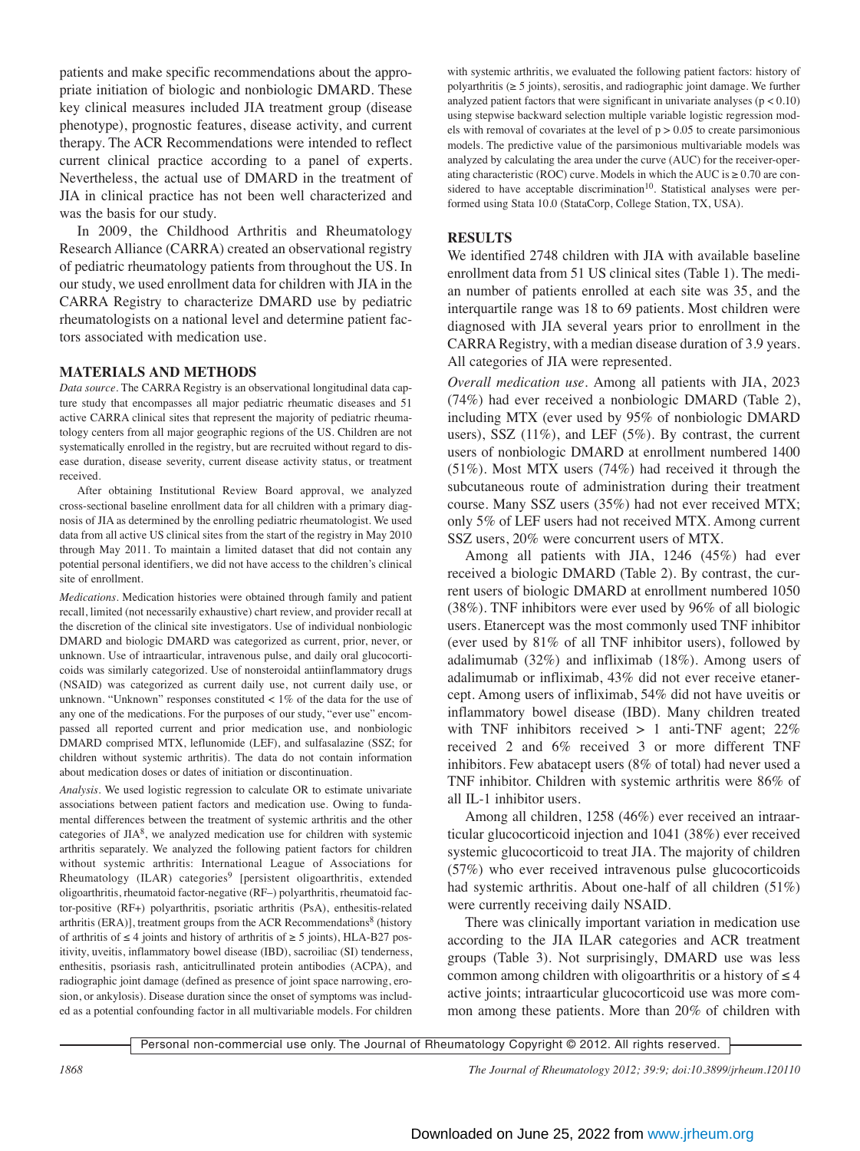patients and make specific recommendations about the appropriate initiation of biologic and nonbiologic DMARD. These key clinical measures included JIA treatment group (disease phenotype), prognostic features, disease activity, and current therapy. The ACR Recommendations were intended to reflect current clinical practice according to a panel of experts. Nevertheless, the actual use of DMARD in the treatment of JIA in clinical practice has not been well characterized and was the basis for our study.

In 2009, the Childhood Arthritis and Rheumatology Research Alliance (CARRA) created an observational registry of pediatric rheumatology patients from throughout the US. In our study, we used enrollment data for children with JIA in the CARRA Registry to characterize DMARD use by pediatric rheumatologists on a national level and determine patient factors associated with medication use.

#### **MATERIALS AND METHODS**

*Data source.* The CARRA Registry is an observational longitudinal data capture study that encompasses all major pediatric rheumatic diseases and 51 active CARRA clinical sites that represent the majority of pediatric rheumatology centers from all major geographic regions of the US. Children are not systematically enrolled in the registry, but are recruited without regard to disease duration, disease severity, current disease activity status, or treatment received.

After obtaining Institutional Review Board approval, we analyzed cross-sectional baseline enrollment data for all children with a primary diagnosis of JIA as determined by the enrolling pediatric rheumatologist. We used data from all active US clinical sites from the start of the registry in May 2010 through May 2011. To maintain a limited dataset that did not contain any potential personal identifiers, we did not have access to the children's clinical site of enrollment.

*Medications.* Medication histories were obtained through family and patient recall, limited (not necessarily exhaustive) chart review, and provider recall at the discretion of the clinical site investigators. Use of individual nonbiologic DMARD and biologic DMARD was categorized as current, prior, never, or unknown. Use of intraarticular, intravenous pulse, and daily oral glucocorticoids was similarly categorized. Use of nonsteroidal antiinflammatory drugs (NSAID) was categorized as current daily use, not current daily use, or unknown. "Unknown" responses constituted < 1% of the data for the use of any one of the medications. For the purposes of our study, "ever use" encompassed all reported current and prior medication use, and nonbiologic DMARD comprised MTX, leflunomide (LEF), and sulfasalazine (SSZ; for children without systemic arthritis). The data do not contain information about medication doses or dates of initiation or discontinuation.

*Analysis.* We used logistic regression to calculate OR to estimate univariate associations between patient factors and medication use. Owing to fundamental differences between the treatment of systemic arthritis and the other categories of JIA8, we analyzed medication use for children with systemic arthritis separately. We analyzed the following patient factors for children without systemic arthritis: International League of Associations for Rheumatology (ILAR) categories<sup>9</sup> [persistent oligoarthritis, extended oligoarthritis, rheumatoid factor-negative (RF–) polyarthritis, rheumatoid factor-positive (RF+) polyarthritis, psoriatic arthritis (PsA), enthesitis-related arthritis (ERA)], treatment groups from the ACR Recommendations<sup>8</sup> (history of arthritis of ≤ 4 joints and history of arthritis of ≥ 5 joints), HLA-B27 positivity, uveitis, inflammatory bowel disease (IBD), sacroiliac (SI) tenderness, enthesitis, psoriasis rash, anticitrullinated protein antibodies (ACPA), and radiographic joint damage (defined as presence of joint space narrowing, erosion, or ankylosis). Disease duration since the onset of symptoms was included as a potential confounding factor in all multivariable models. For children with systemic arthritis, we evaluated the following patient factors: history of polyarthritis (≥ 5 joints), serositis, and radiographic joint damage. We further analyzed patient factors that were significant in univariate analyses  $(p < 0.10)$ using stepwise backward selection multiple variable logistic regression models with removal of covariates at the level of  $p > 0.05$  to create parsimonious models. The predictive value of the parsimonious multivariable models was analyzed by calculating the area under the curve (AUC) for the receiver-operating characteristic (ROC) curve. Models in which the AUC is  $\geq 0.70$  are considered to have acceptable discrimination<sup>10</sup>. Statistical analyses were performed using Stata 10.0 (StataCorp, College Station, TX, USA).

### **RESULTS**

We identified 2748 children with JIA with available baseline enrollment data from 51 US clinical sites (Table 1). The median number of patients enrolled at each site was 35, and the interquartile range was 18 to 69 patients. Most children were diagnosed with JIA several years prior to enrollment in the CARRA Registry, with a median disease duration of 3.9 years. All categories of JIA were represented.

*Overall medication use.* Among all patients with JIA, 2023 (74%) had ever received a nonbiologic DMARD (Table 2), including MTX (ever used by 95% of nonbiologic DMARD users), SSZ (11%), and LEF (5%). By contrast, the current users of nonbiologic DMARD at enrollment numbered 1400 (51%). Most MTX users (74%) had received it through the subcutaneous route of administration during their treatment course. Many SSZ users (35%) had not ever received MTX; only 5% of LEF users had not received MTX. Among current SSZ users, 20% were concurrent users of MTX.

Among all patients with JIA, 1246 (45%) had ever received a biologic DMARD (Table 2). By contrast, the current users of biologic DMARD at enrollment numbered 1050 (38%). TNF inhibitors were ever used by 96% of all biologic users. Etanercept was the most commonly used TNF inhibitor (ever used by 81% of all TNF inhibitor users), followed by adalimumab (32%) and infliximab (18%). Among users of adalimumab or infliximab, 43% did not ever receive etanercept. Among users of infliximab, 54% did not have uveitis or inflammatory bowel disease (IBD). Many children treated with TNF inhibitors received  $> 1$  anti-TNF agent; 22% received 2 and 6% received 3 or more different TNF inhibitors. Few abatacept users (8% of total) had never used a TNF inhibitor. Children with systemic arthritis were 86% of all IL-1 inhibitor users.

Among all children, 1258 (46%) ever received an intraarticular glucocorticoid injection and 1041 (38%) ever received systemic glucocorticoid to treat JIA. The majority of children (57%) who ever received intravenous pulse glucocorticoids had systemic arthritis. About one-half of all children (51%) were currently receiving daily NSAID.

There was clinically important variation in medication use according to the JIA ILAR categories and ACR treatment groups (Table 3). Not surprisingly, DMARD use was less common among children with oligoarthritis or a history of  $\leq 4$ active joints; intraarticular glucocorticoid use was more common among these patients. More than 20% of children with

Personal non-commercial use only. The Journal of Rheumatology Copyright © 2012. All rights reserved.

*1868 The Journal of Rheumatology 2012; 39:9; doi:10.3899/jrheum.120110*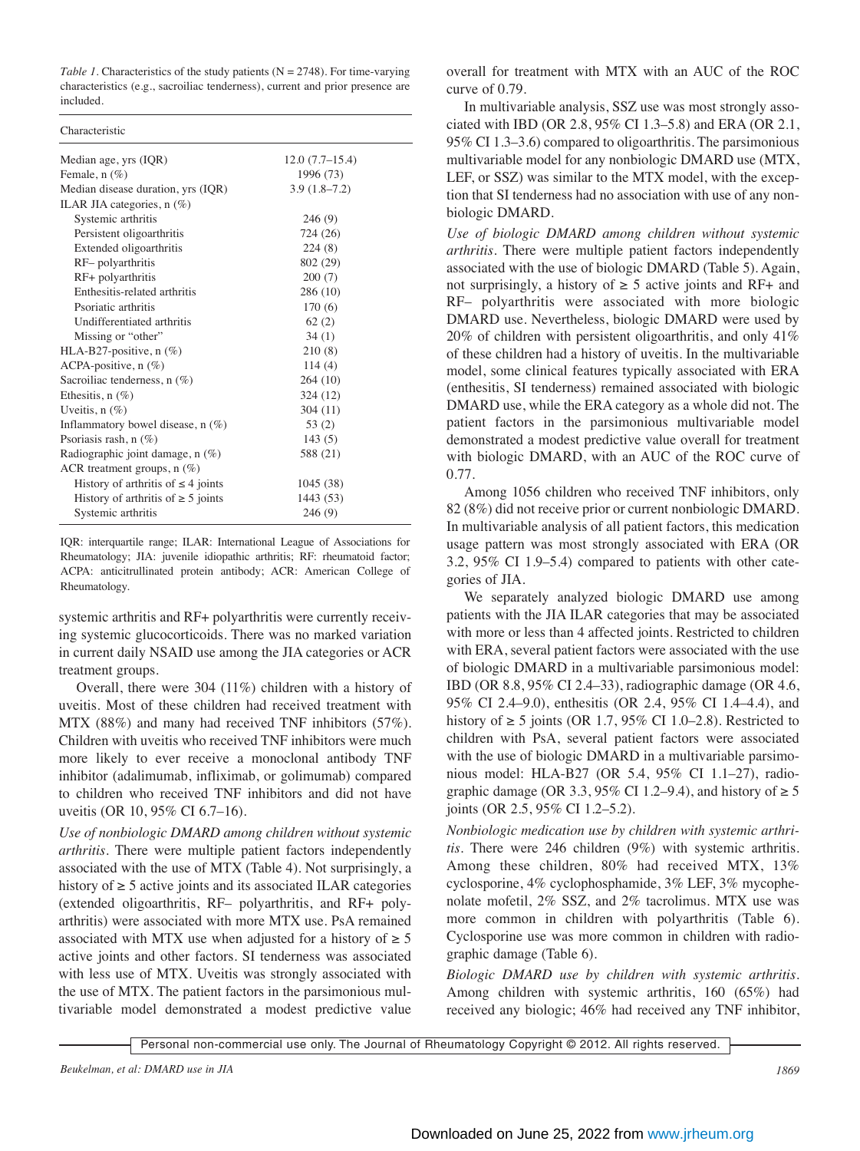*Table 1*. Characteristics of the study patients (N = 2748). For time-varying characteristics (e.g., sacroiliac tenderness), current and prior presence are included.

| Characteristic                          |                  |
|-----------------------------------------|------------------|
| Median age, yrs (IQR)                   | $12.0(7.7-15.4)$ |
| Female, $n$ $(\%)$                      | 1996 (73)        |
| Median disease duration, yrs (IQR)      | $3.9(1.8-7.2)$   |
| ILAR JIA categories, $n$ $(\%)$         |                  |
| Systemic arthritis                      | 246 (9)          |
| Persistent oligoarthritis               | 724 (26)         |
| Extended oligoarthritis                 | 224(8)           |
| RF-polyarthritis                        | 802 (29)         |
| RF+ polyarthritis                       | 200(7)           |
| Enthesitis-related arthritis            | 286 (10)         |
| Psoriatic arthritis                     | 170(6)           |
| Undifferentiated arthritis              | 62(2)            |
| Missing or "other"                      | 34(1)            |
| HLA-B27-positive, $n$ (%)               | 210 (8)          |
| ACPA-positive, $n$ $(\%)$               | 114(4)           |
| Sacroiliac tenderness, n (%)            | 264 (10)         |
| Ethesitis, $n$ $(\%)$                   | 324 (12)         |
| Uveitis, $n$ $(\%)$                     | 304(11)          |
| Inflammatory bowel disease, $n$ (%)     | 53(2)            |
| Psoriasis rash, n (%)                   | 143(5)           |
| Radiographic joint damage, $n$ (%)      | 588 (21)         |
| ACR treatment groups, $n$ (%)           |                  |
| History of arthritis of $\leq 4$ joints | 1045 (38)        |
| History of arthritis of $\geq 5$ joints | 1443 (53)        |
| Systemic arthritis                      | 246 (9)          |

IQR: interquartile range; ILAR: International League of Associations for Rheumatology; JIA: juvenile idiopathic arthritis; RF: rheumatoid factor; ACPA: anticitrullinated protein antibody; ACR: American College of Rheumatology.

systemic arthritis and RF+ polyarthritis were currently receiving systemic glucocorticoids. There was no marked variation in current daily NSAID use among the JIA categories or ACR treatment groups.

Overall, there were 304 (11%) children with a history of uveitis. Most of these children had received treatment with MTX (88%) and many had received TNF inhibitors (57%). Children with uveitis who received TNF inhibitors were much more likely to ever receive a monoclonal antibody TNF inhibitor (adalimumab, infliximab, or golimumab) compared to children who received TNF inhibitors and did not have uveitis (OR 10, 95% CI 6.7–16).

*Use of nonbiologic DMARD among children without systemic arthritis.* There were multiple patient factors independently associated with the use of MTX (Table 4). Not surprisingly, a history of  $\geq$  5 active joints and its associated ILAR categories (extended oligoarthritis, RF– polyarthritis, and RF+ poly arthritis) were associated with more MTX use. PsA remained associated with MTX use when adjusted for a history of  $\geq 5$ active joints and other factors. SI tenderness was associated with less use of MTX. Uveitis was strongly associated with the use of MTX. The patient factors in the parsimonious multivariable model demonstrated a modest predictive value overall for treatment with MTX with an AUC of the ROC curve of 0.79.

In multivariable analysis, SSZ use was most strongly associated with IBD (OR 2.8, 95% CI 1.3–5.8) and ERA (OR 2.1, 95% CI 1.3–3.6) compared to oligoarthritis. The parsimonious multivariable model for any nonbiologic DMARD use (MTX, LEF, or SSZ) was similar to the MTX model, with the exception that SI tenderness had no association with use of any nonbiologic DMARD.

*Use of biologic DMARD among children without systemic arthritis.* There were multiple patient factors independently associated with the use of biologic DMARD (Table 5). Again, not surprisingly, a history of  $\geq$  5 active joints and RF+ and RF– polyarthritis were associated with more biologic DMARD use. Nevertheless, biologic DMARD were used by 20% of children with persistent oligoarthritis, and only 41% of these children had a history of uveitis. In the multivariable model, some clinical features typically associated with ERA (enthesitis, SI tenderness) remained associated with biologic DMARD use, while the ERA category as a whole did not. The patient factors in the parsimonious multivariable model demonstrated a modest predictive value overall for treatment with biologic DMARD, with an AUC of the ROC curve of 0.77.

Among 1056 children who received TNF inhibitors, only 82 (8%) did not receive prior or current nonbiologic DMARD. In multivariable analysis of all patient factors, this medication usage pattern was most strongly associated with ERA (OR 3.2, 95% CI 1.9–5.4) compared to patients with other categories of JIA.

We separately analyzed biologic DMARD use among patients with the JIA ILAR categories that may be associated with more or less than 4 affected joints. Restricted to children with ERA, several patient factors were associated with the use of biologic DMARD in a multivariable parsimonious model: IBD (OR 8.8, 95% CI 2.4–33), radiographic damage (OR 4.6, 95% CI 2.4–9.0), enthesitis (OR 2.4, 95% CI 1.4–4.4), and history of  $\geq 5$  joints (OR 1.7, 95% CI 1.0–2.8). Restricted to children with PsA, several patient factors were associated with the use of biologic DMARD in a multivariable parsimonious model: HLA-B27 (OR 5.4, 95% CI 1.1–27), radio graphic damage (OR 3.3, 95% CI 1.2–9.4), and history of  $\geq 5$ joints (OR 2.5, 95% CI 1.2–5.2).

*Nonbiologic medication use by children with systemic arthritis.* There were 246 children (9%) with systemic arthritis. Among these children, 80% had received MTX, 13% cyclosporine, 4% cyclophosphamide, 3% LEF, 3% mycophenolate mofetil, 2% SSZ, and 2% tacrolimus. MTX use was more common in children with polyarthritis (Table 6). Cyclosporine use was more common in children with radio graphic damage (Table 6).

*Biologic DMARD use by children with systemic arthritis.* Among children with systemic arthritis, 160 (65%) had received any biologic; 46% had received any TNF inhibitor,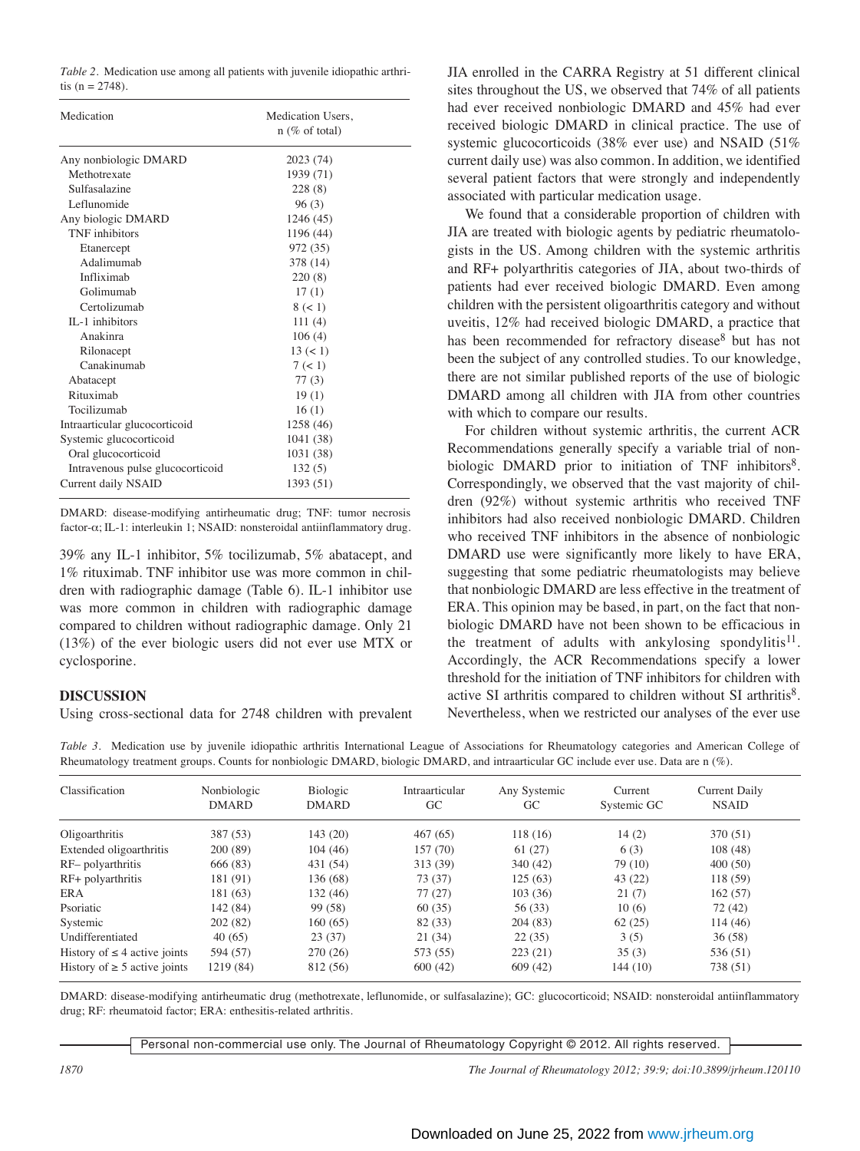*Table 2.* Medication use among all patients with juvenile idiopathic arthritis  $(n = 2748)$ .

| Medication                       | Medication Users,<br>$n$ (% of total) |  |
|----------------------------------|---------------------------------------|--|
| Any nonbiologic DMARD            | 2023 (74)                             |  |
| Methotrexate                     | 1939 (71)                             |  |
| Sulfasalazine                    | 228(8)                                |  |
| Leflunomide                      | 96(3)                                 |  |
| Any biologic DMARD               | 1246 (45)                             |  |
| <b>TNF</b> inhibitors            | 1196 (44)                             |  |
| Etanercept                       | 972 (35)                              |  |
| Adalimumab                       | 378 (14)                              |  |
| Infliximab                       | 220(8)                                |  |
| Golimumab                        | 17(1)                                 |  |
| Certolizumab                     | 8 (< 1)                               |  |
| $II - 1$ inhibitors              | 111(4)                                |  |
| Anakinra                         | 106(4)                                |  |
| Rilonacept                       | 13 (< 1)                              |  |
| Canakinumab                      | 7 (< 1)                               |  |
| Abatacept                        | 77(3)                                 |  |
| Rituximah                        | 19(1)                                 |  |
| Tocilizumab                      | 16(1)                                 |  |
| Intraarticular glucocorticoid    | 1258 (46)                             |  |
| Systemic glucocorticoid          | 1041 (38)                             |  |
| Oral glucocorticoid              | 1031 (38)                             |  |
| Intravenous pulse glucocorticoid | 132(5)                                |  |
| Current daily NSAID              | 1393 (51)                             |  |

DMARD: disease-modifying antirheumatic drug; TNF: tumor necrosis factor-α; IL-1: interleukin 1; NSAID: nonsteroidal antiinflammatory drug.

39% any IL-1 inhibitor, 5% tocilizumab, 5% abatacept, and 1% rituximab. TNF inhibitor use was more common in children with radiographic damage (Table 6). IL-1 inhibitor use was more common in children with radiographic damage compared to children without radiographic damage. Only 21 (13%) of the ever biologic users did not ever use MTX or cyclosporine.

## **DISCUSSION**

Using cross-sectional data for 2748 children with prevalent

JIA enrolled in the CARRA Registry at 51 different clinical sites throughout the US, we observed that 74% of all patients had ever received nonbiologic DMARD and 45% had ever received biologic DMARD in clinical practice. The use of systemic glucocorticoids (38% ever use) and NSAID (51% current daily use) was also common. In addition, we identified several patient factors that were strongly and independently associated with particular medication usage.

We found that a considerable proportion of children with JIA are treated with biologic agents by pediatric rheumatologists in the US. Among children with the systemic arthritis and RF+ polyarthritis categories of JIA, about two-thirds of patients had ever received biologic DMARD. Even among children with the persistent oligoarthritis category and without uveitis, 12% had received biologic DMARD, a practice that has been recommended for refractory disease<sup>8</sup> but has not been the subject of any controlled studies. To our knowledge, there are not similar published reports of the use of biologic DMARD among all children with JIA from other countries with which to compare our results.

For children without systemic arthritis, the current ACR Recommendations generally specify a variable trial of nonbiologic DMARD prior to initiation of TNF inhibitors<sup>8</sup>. Correspondingly, we observed that the vast majority of children (92%) without systemic arthritis who received TNF inhibitors had also received nonbiologic DMARD. Children who received TNF inhibitors in the absence of nonbiologic DMARD use were significantly more likely to have ERA, suggesting that some pediatric rheumatologists may believe that nonbiologic DMARD are less effective in the treatment of ERA. This opinion may be based, in part, on the fact that nonbiologic DMARD have not been shown to be efficacious in the treatment of adults with ankylosing spondylitis<sup>11</sup>. Accordingly, the ACR Recommendations specify a lower threshold for the initiation of TNF inhibitors for children with active SI arthritis compared to children without SI arthritis<sup>8</sup>. Nevertheless, when we restricted our analyses of the ever use

*Table 3.* Medication use by juvenile idiopathic arthritis International League of Associations for Rheumatology categories and American College of Rheumatology treatment groups. Counts for nonbiologic DMARD, biologic DMARD, and intraarticular GC include ever use. Data are n (%).

| Classification                    | Nonbiologic<br><b>DMARD</b> | Biologic<br><b>DMARD</b> | Intraarticular<br><b>GC</b> | Any Systemic<br>GC. | Current<br>Systemic GC | Current Daily<br><b>NSAID</b> |
|-----------------------------------|-----------------------------|--------------------------|-----------------------------|---------------------|------------------------|-------------------------------|
| Oligoarthritis                    | 387 (53)                    | 143(20)                  | 467(65)                     | 118(16)             | 14(2)                  | 370 (51)                      |
| Extended oligoarthritis           | 200 (89)                    | 104(46)                  | 157(70)                     | 61(27)              | 6(3)                   | 108(48)                       |
| RF-polyarthritis                  | 666 (83)                    | 431 (54)                 | 313 (39)                    | 340(42)             | 79 (10)                | 400(50)                       |
| RF+ polyarthritis                 | 181 (91)                    | 136 (68)                 | 73 (37)                     | 125(63)             | 43(22)                 | 118 (59)                      |
| <b>ERA</b>                        | 181 (63)                    | 132 (46)                 | 77(27)                      | 103(36)             | 21(7)                  | 162(57)                       |
| Psoriatic                         | 142 (84)                    | 99 (58)                  | 60(35)                      | 56 (33)             | 10(6)                  | 72 (42)                       |
| Systemic                          | 202(82)                     | 160(65)                  | 82 (33)                     | 204(83)             | 62(25)                 | 114 (46)                      |
| Undifferentiated                  | 40(65)                      | 23(37)                   | 21(34)                      | 22(35)              | 3(5)                   | 36(58)                        |
| History of $\leq$ 4 active joints | 594 (57)                    | 270(26)                  | 573 (55)                    | 223(21)             | 35(3)                  | 536 (51)                      |
| History of $\geq$ 5 active joints | 1219 (84)                   | 812 (56)                 | 600(42)                     | 609(42)             | 144 (10)               | 738 (51)                      |

DMARD: disease-modifying antirheumatic drug (methotrexate, leflunomide, or sulfasalazine); GC: glucocorticoid; NSAID: nonsteroidal antiinflammatory drug; RF: rheumatoid factor; ERA: enthesitis-related arthritis.

Personal non-commercial use only. The Journal of Rheumatology Copyright © 2012. All rights reserved.

*1870 The Journal of Rheumatology 2012; 39:9; doi:10.3899/jrheum.120110*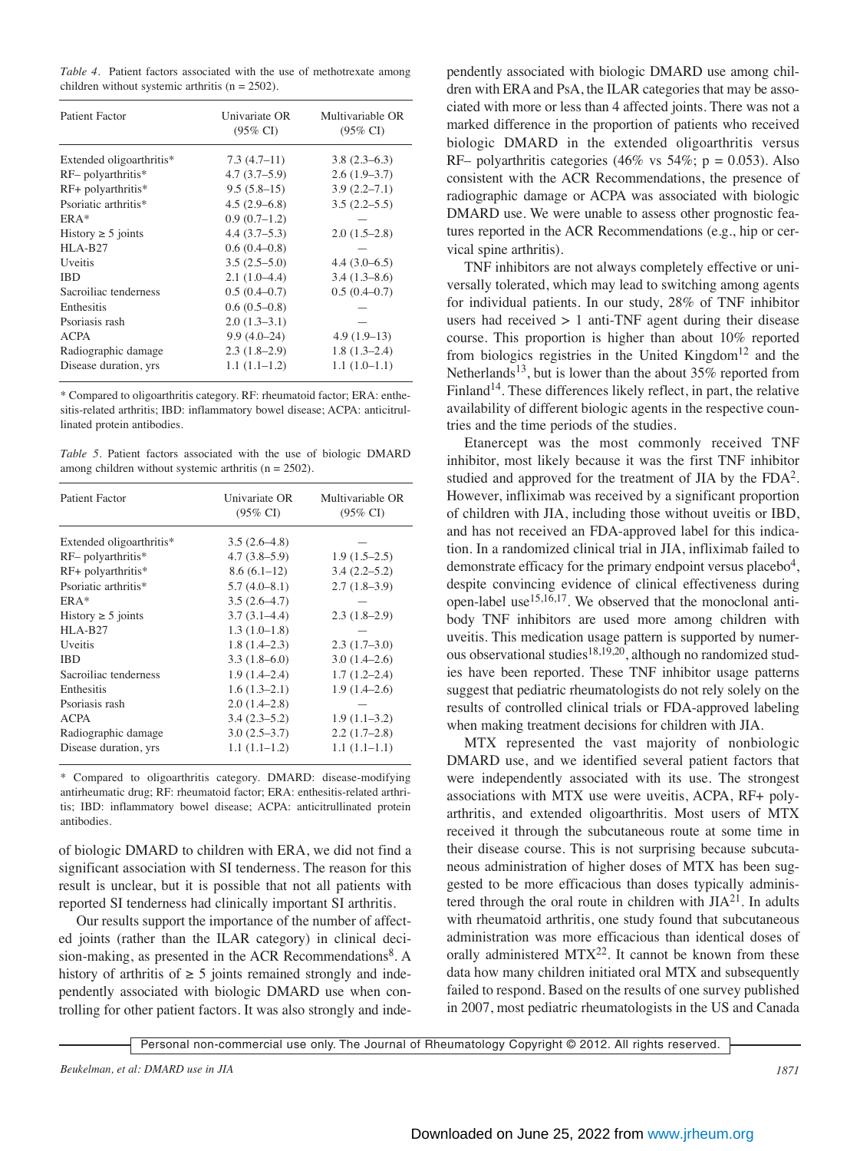*Table 4.* Patient factors associated with the use of methotrexate among children without systemic arthritis  $(n = 2502)$ .

| <b>Patient Factor</b>    | Univariate OR<br>$(95\% \text{ CI})$ | Multivariable OR<br>$(95\% \text{ CI})$ |
|--------------------------|--------------------------------------|-----------------------------------------|
| Extended oligoarthritis* | $7.3(4.7-11)$                        | $3.8(2.3-6.3)$                          |
| RF-polyarthritis*        | $4.7(3.7-5.9)$                       | $2.6(1.9-3.7)$                          |
| RF+ polyarthritis*       | $9.5(5.8-15)$                        | $3.9(2.2 - 7.1)$                        |
| Psoriatic arthritis*     | $4.5(2.9-6.8)$                       | $3.5(2.2 - 5.5)$                        |
| $ERA*$                   | $0.9(0.7-1.2)$                       |                                         |
| History $\geq 5$ joints  | $4.4(3.7-5.3)$                       | $2.0(1.5-2.8)$                          |
| $HLA-B27$                | $0.6(0.4-0.8)$                       |                                         |
| <b>Uveitis</b>           | $3.5(2.5-5.0)$                       | $4.4(3.0-6.5)$                          |
| <b>IBD</b>               | $2.1(1.0-4.4)$                       | $3.4(1.3-8.6)$                          |
| Sacroiliac tenderness    | $0.5(0.4-0.7)$                       | $0.5(0.4-0.7)$                          |
| Enthesitis               | $0.6(0.5-0.8)$                       |                                         |
| Psoriasis rash           | $2.0(1.3-3.1)$                       |                                         |
| <b>ACPA</b>              | $9.9(4.0-24)$                        | $4.9(1.9-13)$                           |
| Radiographic damage      | $2.3(1.8-2.9)$                       | $1.8(1.3-2.4)$                          |
| Disease duration, yrs    | $1.1(1.1-1.2)$                       | $1.1(1.0-1.1)$                          |

\* Compared to oligoarthritis category. RF: rheumatoid factor; ERA: enthesitis-related arthritis; IBD: inflammatory bowel disease; ACPA: anticitrullinated protein antibodies.

*Table 5.* Patient factors associated with the use of biologic DMARD among children without systemic arthritis ( $n = 2502$ ).

| Patient Factor           | Univariate OR<br>$(95\% \text{ CI})$ | Multivariable OR<br>$(95\% \text{ CI})$ |
|--------------------------|--------------------------------------|-----------------------------------------|
| Extended oligoarthritis* | $3.5(2.6-4.8)$                       |                                         |
| RF-polyarthritis*        | $4.7(3.8-5.9)$                       | $1.9(1.5-2.5)$                          |
| RF+ polyarthritis*       | $8.6(6.1-12)$                        | $3.4(2.2 - 5.2)$                        |
| Psoriatic arthritis*     | $5.7(4.0-8.1)$                       | $2.7(1.8-3.9)$                          |
| $ERA*$                   | $3.5(2.6-4.7)$                       |                                         |
| History $\geq 5$ joints  | $3.7(3.1-4.4)$                       | $2.3(1.8-2.9)$                          |
| $HI.A-B27$               | $1.3(1.0-1.8)$                       |                                         |
| <b>Uveitis</b>           | $1.8(1.4-2.3)$                       | $2.3(1.7-3.0)$                          |
| <b>IBD</b>               | $3.3(1.8-6.0)$                       | $3.0(1.4-2.6)$                          |
| Sacroiliac tenderness    | $1.9(1.4-2.4)$                       | $1.7(1.2 - 2.4)$                        |
| Enthesitis               | $1.6(1.3-2.1)$                       | $1.9(1.4-2.6)$                          |
| Psoriasis rash           | $2.0(1.4-2.8)$                       |                                         |
| <b>ACPA</b>              | $3.4(2.3-5.2)$                       | $1.9(1.1-3.2)$                          |
| Radiographic damage      | $3.0(2.5-3.7)$                       | $2.2(1.7-2.8)$                          |
| Disease duration, yrs    | $1.1(1.1-1.2)$                       | $1.1(1.1-1.1)$                          |

\* Compared to oligoarthritis category. DMARD: disease-modifying antirheumatic drug; RF: rheumatoid factor; ERA: enthesitis-related arthritis; IBD: inflammatory bowel disease; ACPA: anticitrullinated protein antibodies.

of biologic DMARD to children with ERA, we did not find a significant association with SI tenderness. The reason for this result is unclear, but it is possible that not all patients with reported SI tenderness had clinically important SI arthritis.

Our results support the importance of the number of affected joints (rather than the ILAR category) in clinical decision-making, as presented in the ACR Recommendations<sup>8</sup>. A history of arthritis of  $\geq$  5 joints remained strongly and independently associated with biologic DMARD use when controlling for other patient factors. It was also strongly and independently associated with biologic DMARD use among children with ERA and PsA, the ILAR categories that may be associated with more or less than 4 affected joints. There was not a marked difference in the proportion of patients who received biologic DMARD in the extended oligoarthritis versus RF– polyarthritis categories (46% vs  $54\%$ ; p = 0.053). Also consistent with the ACR Recommendations, the presence of radiographic damage or ACPA was associated with biologic DMARD use. We were unable to assess other prognostic features reported in the ACR Recommendations (e.g., hip or cervical spine arthritis).

TNF inhibitors are not always completely effective or universally tolerated, which may lead to switching among agents for individual patients. In our study, 28% of TNF inhibitor users had received  $> 1$  anti-TNF agent during their disease course. This proportion is higher than about 10% reported from biologics registries in the United Kingdom<sup>12</sup> and the Netherlands<sup>13</sup>, but is lower than the about  $35\%$  reported from  $Finland<sup>14</sup>$ . These differences likely reflect, in part, the relative availability of different biologic agents in the respective countries and the time periods of the studies.

Etanercept was the most commonly received TNF inhibitor, most likely because it was the first TNF inhibitor studied and approved for the treatment of JIA by the  $FDA<sup>2</sup>$ . However, infliximab was received by a significant proportion of children with JIA, including those without uveitis or IBD, and has not received an FDA-approved label for this indication. In a randomized clinical trial in JIA, infliximab failed to demonstrate efficacy for the primary endpoint versus placebo $4$ , despite convincing evidence of clinical effectiveness during open-label use<sup>15,16,17</sup>. We observed that the monoclonal antibody TNF inhibitors are used more among children with uveitis. This medication usage pattern is supported by numerous observational studies<sup>18,19,20</sup>, although no randomized studies have been reported. These TNF inhibitor usage patterns suggest that pediatric rheumatologists do not rely solely on the results of controlled clinical trials or FDA-approved labeling when making treatment decisions for children with JIA.

MTX represented the vast majority of nonbiologic DMARD use, and we identified several patient factors that were independently associated with its use. The strongest associations with MTX use were uveitis, ACPA, RF+ polyarthritis, and extended oligoarthritis. Most users of MTX received it through the subcutaneous route at some time in their disease course. This is not surprising because subcutaneous administration of higher doses of MTX has been suggested to be more efficacious than doses typically administered through the oral route in children with  $JIA^{21}$ . In adults with rheumatoid arthritis, one study found that subcutaneous administration was more efficacious than identical doses of orally administered MTX $^{22}$ . It cannot be known from these data how many children initiated oral MTX and subsequently failed to respond. Based on the results of one survey published in 2007, most pediatric rheumatologists in the US and Canada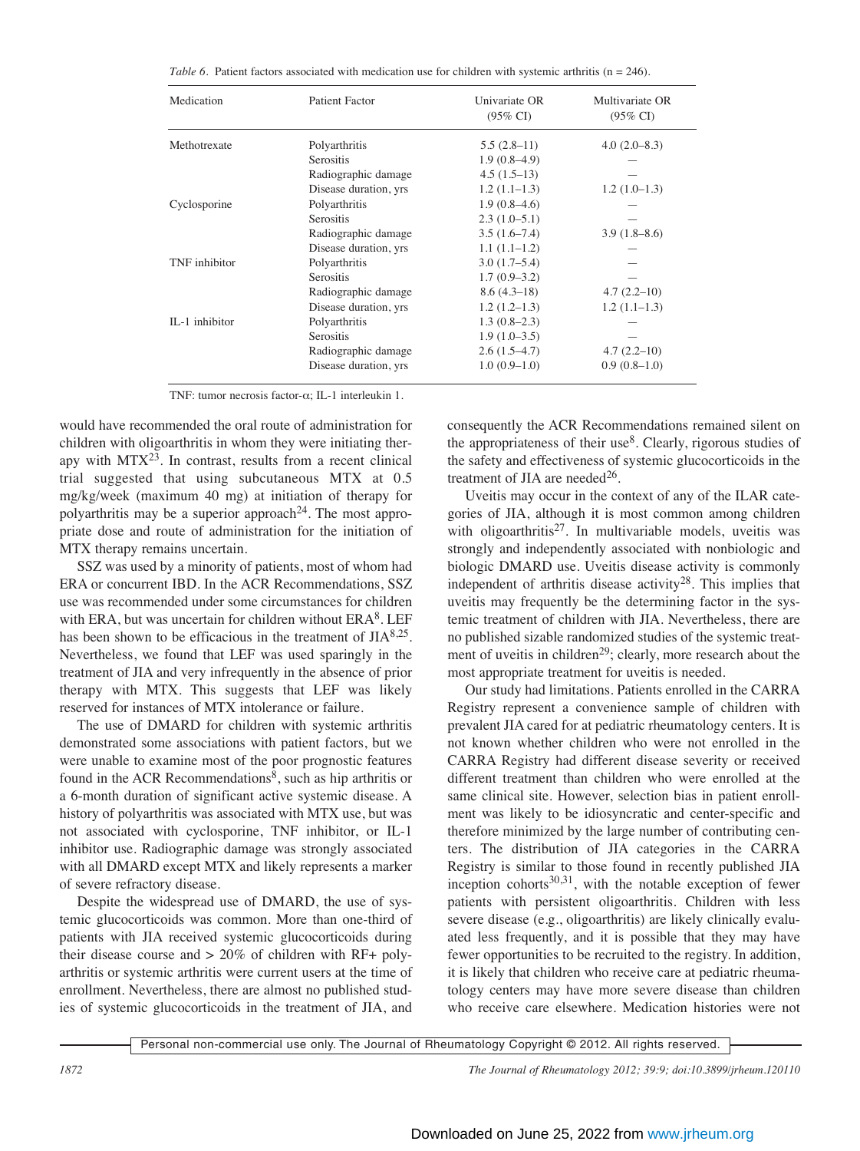*Table 6.* Patient factors associated with medication use for children with systemic arthritis (n = 246).

| Medication       | <b>Patient Factor</b> | Univariate OR<br>$(95\% \text{ CI})$ | Multivariate OR<br>$(95\% \text{ CI})$ |
|------------------|-----------------------|--------------------------------------|----------------------------------------|
| Methotrexate     | Polyarthritis         | $5.5(2.8-11)$                        | $4.0(2.0-8.3)$                         |
|                  | <b>Serositis</b>      | $1.9(0.8-4.9)$                       |                                        |
|                  | Radiographic damage   | $4.5(1.5-13)$                        |                                        |
|                  | Disease duration, yrs | $1.2(1.1-1.3)$                       | $1.2(1.0-1.3)$                         |
| Cyclosporine     | Polyarthritis         | $1.9(0.8-4.6)$                       |                                        |
|                  | Serositis             | $2.3(1.0-5.1)$                       |                                        |
|                  | Radiographic damage   | $3.5(1.6-7.4)$                       | $3.9(1.8-8.6)$                         |
|                  | Disease duration, yrs | $1.1(1.1-1.2)$                       |                                        |
| TNF inhibitor    | Polyarthritis         | $3.0(1.7-5.4)$                       |                                        |
|                  | <b>Serositis</b>      | $1.7(0.9-3.2)$                       |                                        |
|                  | Radiographic damage   | $8.6(4.3-18)$                        | $4.7(2.2-10)$                          |
|                  | Disease duration, yrs | $1.2(1.2-1.3)$                       | $1.2(1.1-1.3)$                         |
| $IL-1$ inhibitor | Polyarthritis         | $1.3(0.8-2.3)$                       |                                        |
|                  | <b>Serositis</b>      | $1.9(1.0-3.5)$                       |                                        |
|                  | Radiographic damage   | $2.6(1.5-4.7)$                       | $4.7(2.2-10)$                          |
|                  | Disease duration, yrs | $1.0(0.9-1.0)$                       | $0.9(0.8-1.0)$                         |

TNF: tumor necrosis factor-α; IL-1 interleukin 1.

would have recommended the oral route of administration for children with oligoarthritis in whom they were initiating therapy with MTX23. In contrast, results from a recent clinical trial suggested that using subcutaneous MTX at 0.5 mg/kg/week (maximum 40 mg) at initiation of therapy for polyarthritis may be a superior approach<sup>24</sup>. The most appropriate dose and route of administration for the initiation of MTX therapy remains uncertain.

SSZ was used by a minority of patients, most of whom had ERA or concurrent IBD. In the ACR Recommendations, SSZ use was recommended under some circumstances for children with ERA, but was uncertain for children without ERA<sup>8</sup>. LEF has been shown to be efficacious in the treatment of JIA<sup>8,25</sup>. Nevertheless, we found that LEF was used sparingly in the treatment of JIA and very infrequently in the absence of prior therapy with MTX. This suggests that LEF was likely reserved for instances of MTX intolerance or failure.

The use of DMARD for children with systemic arthritis demonstrated some associations with patient factors, but we were unable to examine most of the poor prognostic features found in the ACR Recommendations<sup>8</sup>, such as hip arthritis or a 6-month duration of significant active systemic disease. A history of polyarthritis was associated with MTX use, but was not associated with cyclosporine, TNF inhibitor, or IL-1 inhibitor use. Radiographic damage was strongly associated with all DMARD except MTX and likely represents a marker of severe refractory disease.

Despite the widespread use of DMARD, the use of systemic glucocorticoids was common. More than one-third of patients with JIA received systemic glucocorticoids during their disease course and  $> 20\%$  of children with RF+ polyarthritis or systemic arthritis were current users at the time of enrollment. Nevertheless, there are almost no published studies of systemic glucocorticoids in the treatment of JIA, and consequently the ACR Recommendations remained silent on the appropriateness of their use<sup>8</sup>. Clearly, rigorous studies of the safety and effectiveness of systemic glucocorticoids in the treatment of JIA are needed $^{26}$ .

Uveitis may occur in the context of any of the ILAR categories of JIA, although it is most common among children with oligoarthritis<sup>27</sup>. In multivariable models, uveitis was strongly and independently associated with nonbiologic and biologic DMARD use. Uveitis disease activity is commonly independent of arthritis disease activity<sup>28</sup>. This implies that uveitis may frequently be the determining factor in the systemic treatment of children with JIA. Nevertheless, there are no published sizable randomized studies of the systemic treatment of uveitis in children<sup>29</sup>; clearly, more research about the most appropriate treatment for uveitis is needed.

Our study had limitations. Patients enrolled in the CARRA Registry represent a convenience sample of children with prevalent JIA cared for at pediatric rheumatology centers. It is not known whether children who were not enrolled in the CARRA Registry had different disease severity or received different treatment than children who were enrolled at the same clinical site. However, selection bias in patient enrollment was likely to be idiosyncratic and center-specific and therefore minimized by the large number of contributing centers. The distribution of JIA categories in the CARRA Registry is similar to those found in recently published JIA inception cohorts $30,31$ , with the notable exception of fewer patients with persistent oligoarthritis. Children with less severe disease (e.g., oligoarthritis) are likely clinically evaluated less frequently, and it is possible that they may have fewer opportunities to be recruited to the registry. In addition, it is likely that children who receive care at pediatric rheumatology centers may have more severe disease than children who receive care elsewhere. Medication histories were not

Personal non-commercial use only. The Journal of Rheumatology Copyright © 2012. All rights reserved.

*1872 The Journal of Rheumatology 2012; 39:9; doi:10.3899/jrheum.120110*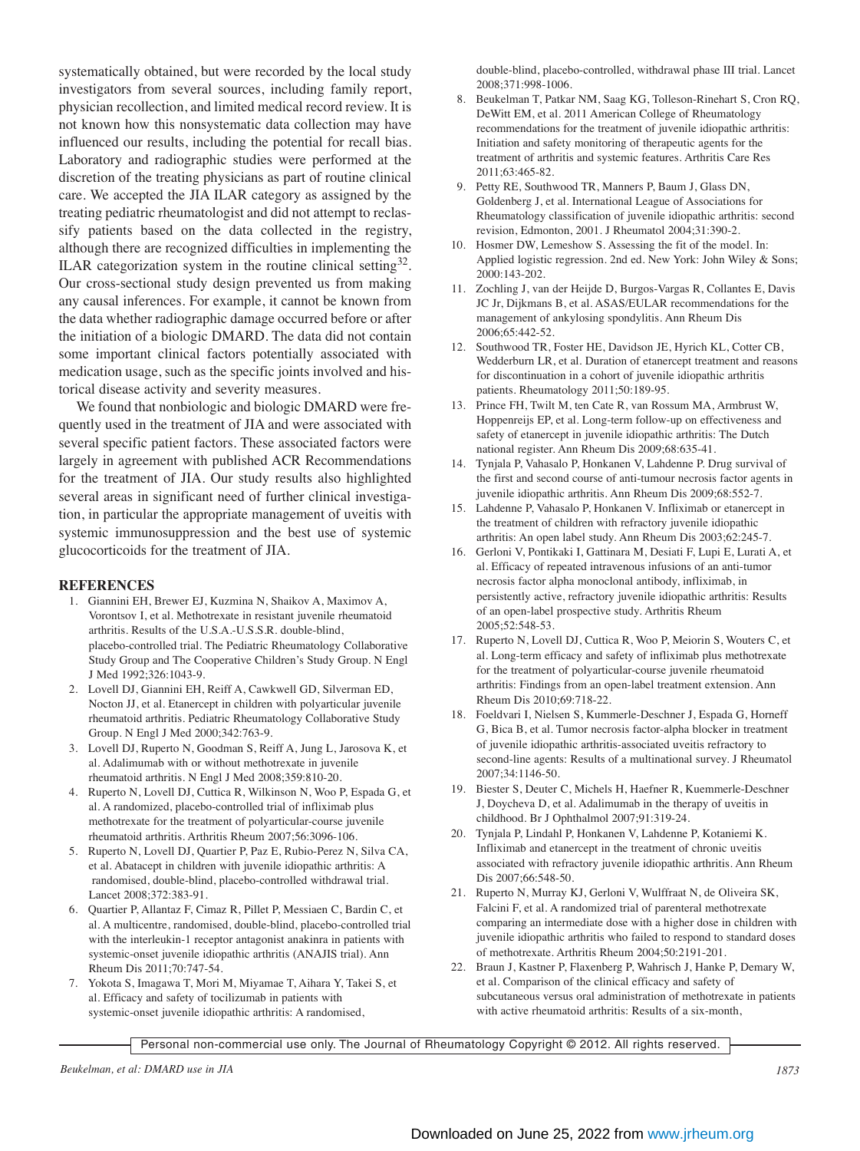systematically obtained, but were recorded by the local study investigators from several sources, including family report, physician recollection, and limited medical record review. It is not known how this nonsystematic data collection may have influenced our results, including the potential for recall bias. Laboratory and radiographic studies were performed at the discretion of the treating physicians as part of routine clinical care. We accepted the JIA ILAR category as assigned by the treating pediatric rheumatologist and did not attempt to reclassify patients based on the data collected in the registry, although there are recognized difficulties in implementing the ILAR categorization system in the routine clinical setting32. Our cross-sectional study design prevented us from making any causal inferences. For example, it cannot be known from the data whether radiographic damage occurred before or after the initiation of a biologic DMARD. The data did not contain some important clinical factors potentially associated with medication usage, such as the specific joints involved and historical disease activity and severity measures.

We found that nonbiologic and biologic DMARD were frequently used in the treatment of JIA and were associated with several specific patient factors. These associated factors were largely in agreement with published ACR Recommendations for the treatment of JIA. Our study results also highlighted several areas in significant need of further clinical investigation, in particular the appropriate management of uveitis with systemic immunosuppression and the best use of systemic glucocorticoids for the treatment of JIA.

#### **REFERENCES**

- 1. Giannini EH, Brewer EJ, Kuzmina N, Shaikov A, Maximov A, Vorontsov I, et al. Methotrexate in resistant juvenile rheumatoid arthritis. Results of the U.S.A.-U.S.S.R. double-blind, placebo-controlled trial. The Pediatric Rheumatology Collaborative Study Group and The Cooperative Children's Study Group. N Engl J Med 1992;326:1043-9.
- 2. Lovell DJ, Giannini EH, Reiff A, Cawkwell GD, Silverman ED, Nocton JJ, et al. Etanercept in children with polyarticular juvenile rheumatoid arthritis. Pediatric Rheumatology Collaborative Study Group. N Engl J Med 2000;342:763-9.
- 3. Lovell DJ, Ruperto N, Goodman S, Reiff A, Jung L, Jarosova K, et al. Adalimumab with or without methotrexate in juvenile rheumatoid arthritis. N Engl J Med 2008;359:810-20.
- 4. Ruperto N, Lovell DJ, Cuttica R, Wilkinson N, Woo P, Espada G, et al. A randomized, placebo-controlled trial of infliximab plus methotrexate for the treatment of polyarticular-course juvenile rheumatoid arthritis. Arthritis Rheum 2007;56:3096-106.
- 5. Ruperto N, Lovell DJ, Quartier P, Paz E, Rubio-Perez N, Silva CA, et al. Abatacept in children with juvenile idiopathic arthritis: A randomised, double-blind, placebo-controlled withdrawal trial. Lancet 2008;372:383-91.
- 6. Quartier P, Allantaz F, Cimaz R, Pillet P, Messiaen C, Bardin C, et al. A multicentre, randomised, double-blind, placebo-controlled trial with the interleukin-1 receptor antagonist anakinra in patients with systemic-onset juvenile idiopathic arthritis (ANAJIS trial). Ann Rheum Dis 2011;70:747-54.
- 7. Yokota S, Imagawa T, Mori M, Miyamae T, Aihara Y, Takei S, et al. Efficacy and safety of tocilizumab in patients with systemic-onset juvenile idiopathic arthritis: A randomised,

double-blind, placebo-controlled, withdrawal phase III trial. Lancet 2008;371:998-1006.

- 8. Beukelman T, Patkar NM, Saag KG, Tolleson-Rinehart S, Cron RQ, DeWitt EM, et al. 2011 American College of Rheumatology recommendations for the treatment of juvenile idiopathic arthritis: Initiation and safety monitoring of therapeutic agents for the treatment of arthritis and systemic features. Arthritis Care Res 2011;63:465-82.
- 9. Petty RE, Southwood TR, Manners P, Baum J, Glass DN, Goldenberg J, et al. International League of Associations for Rheumatology classification of juvenile idiopathic arthritis: second revision, Edmonton, 2001. J Rheumatol 2004;31:390-2.
- 10. Hosmer DW, Lemeshow S. Assessing the fit of the model. In: Applied logistic regression. 2nd ed. New York: John Wiley & Sons; 2000:143-202.
- 11. Zochling J, van der Heijde D, Burgos-Vargas R, Collantes E, Davis JC Jr, Dijkmans B, et al. ASAS/EULAR recommendations for the management of ankylosing spondylitis. Ann Rheum Dis 2006;65:442-52.
- 12. Southwood TR, Foster HE, Davidson JE, Hyrich KL, Cotter CB, Wedderburn LR, et al. Duration of etanercept treatment and reasons for discontinuation in a cohort of juvenile idiopathic arthritis patients. Rheumatology 2011;50:189-95.
- 13. Prince FH, Twilt M, ten Cate R, van Rossum MA, Armbrust W, Hoppenreijs EP, et al. Long-term follow-up on effectiveness and safety of etanercept in juvenile idiopathic arthritis: The Dutch national register. Ann Rheum Dis 2009;68:635-41.
- 14. Tynjala P, Vahasalo P, Honkanen V, Lahdenne P. Drug survival of the first and second course of anti-tumour necrosis factor agents in juvenile idiopathic arthritis. Ann Rheum Dis 2009;68:552-7.
- 15. Lahdenne P, Vahasalo P, Honkanen V. Infliximab or etanercept in the treatment of children with refractory juvenile idiopathic arthritis: An open label study. Ann Rheum Dis 2003;62:245-7.
- 16. Gerloni V, Pontikaki I, Gattinara M, Desiati F, Lupi E, Lurati A, et al. Efficacy of repeated intravenous infusions of an anti-tumor necrosis factor alpha monoclonal antibody, infliximab, in persistently active, refractory juvenile idiopathic arthritis: Results of an open-label prospective study. Arthritis Rheum 2005;52:548-53.
- 17. Ruperto N, Lovell DJ, Cuttica R, Woo P, Meiorin S, Wouters C, et al. Long-term efficacy and safety of infliximab plus methotrexate for the treatment of polyarticular-course juvenile rheumatoid arthritis: Findings from an open-label treatment extension. Ann Rheum Dis 2010;69:718-22.
- 18. Foeldvari I, Nielsen S, Kummerle-Deschner J, Espada G, Horneff G, Bica B, et al. Tumor necrosis factor-alpha blocker in treatment of juvenile idiopathic arthritis-associated uveitis refractory to second-line agents: Results of a multinational survey. J Rheumatol 2007;34:1146-50.
- 19. Biester S, Deuter C, Michels H, Haefner R, Kuemmerle-Deschner J, Doycheva D, et al. Adalimumab in the therapy of uveitis in childhood. Br J Ophthalmol 2007;91:319-24.
- 20. Tynjala P, Lindahl P, Honkanen V, Lahdenne P, Kotaniemi K. Infliximab and etanercept in the treatment of chronic uveitis associated with refractory juvenile idiopathic arthritis. Ann Rheum Dis 2007;66:548-50.
- 21. Ruperto N, Murray KJ, Gerloni V, Wulffraat N, de Oliveira SK, Falcini F, et al. A randomized trial of parenteral methotrexate comparing an intermediate dose with a higher dose in children with juvenile idiopathic arthritis who failed to respond to standard doses of methotrexate. Arthritis Rheum 2004;50:2191-201.
- 22. Braun J, Kastner P, Flaxenberg P, Wahrisch J, Hanke P, Demary W, et al. Comparison of the clinical efficacy and safety of subcutaneous versus oral administration of methotrexate in patients with active rheumatoid arthritis: Results of a six-month,